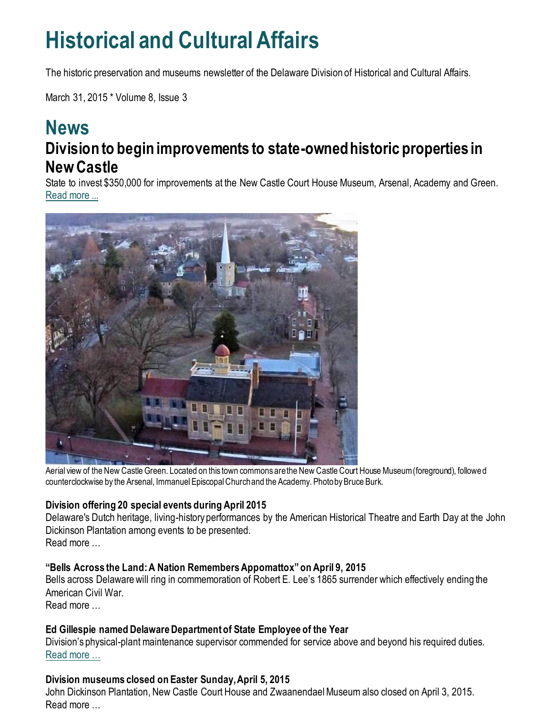## **Historical and Cultural Affairs**

The historic preservation and museums newsletter of the Delaware Division of Historical and Cultural Affairs.

March 31, 2015 \* Volume 8, Issue 3

### **News Division to begin improvements to state-owned historic properties in New Castle**

State to invest \$350,000 for improvements at the New Castle Court House Museum, Arsenal, Academy and Green. [Read more ...](http://history.blogs.delaware.gov/2015/03/17/division-to-begin-improvements-to-state-owned-historic-properties-in-new-castle/)



Aerial view of the New Castle Green. Located on this town commons are the New Castle Court House Museum (foreground), followed counterclockwise by the Arsenal, Immanuel Episcopal Church and the Academy. Photo by Bruce Burk.

#### **Division offering 20 special events during April 2015**

Delaware's Dutch heritage, living-history performances by the American Historical Theatre and Earth Day at the John Dickinson Plantation among events to be presented. Read more …

#### **"Bells Across the Land: A Nation Remembers Appomattox" on April 9, 2015**

Bells across Delaware will ring in commemoration of Robert E. Lee's 1865 surrender which effectively ending the American Civil War.

Read more …

#### **Ed Gillespie named Delaware Department of State Employee of the Year**

Division's physical-plant maintenance supervisor commended for service above and beyond his required duties. [Read more …](https://history.delaware.gov/2015/03/26/ed-gillespie-named-delaware-department-of-state-employee-of-the-year/)

#### **Division museums closed on Easter Sunday, April 5, 2015**

John Dickinson Plantation, New Castle Court House and Zwaanendael Museum also closed on April 3, 2015. Read more …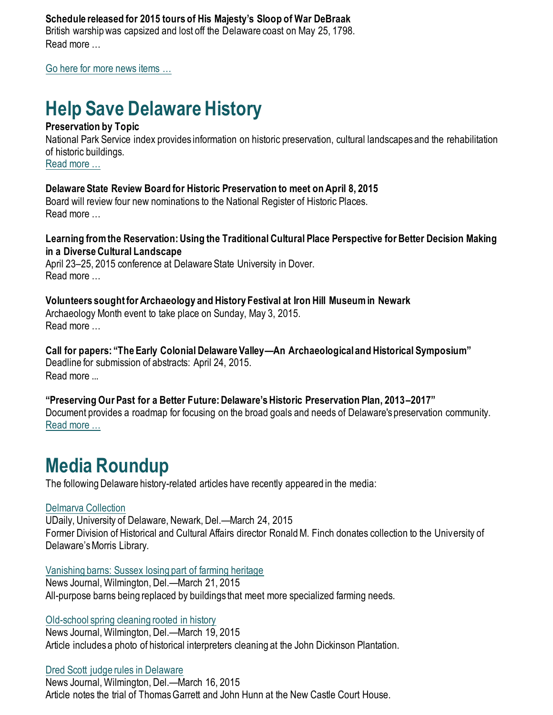#### **Schedule released for 2015 tours of His Majesty's Sloop of War DeBraak**

British warship was capsized and lost off the Delaware coast on May 25, 1798. Read more

[Go here for more news items …](http://history.blogs.delaware.gov/)

## **Help Save Delaware History**

#### **Preservation by Topic**

National Park Service index provides information on historic preservation, cultural landscapes and the rehabilitation of historic buildings. [Read more …](https://www.nps.gov/tps/how-to-preserve/by-topic.htm)

**Delaware State Review Board for Historic Preservation to meet on April 8, 2015**

Board will review four new nominations to the National Register of Historic Places. Read more …

**Learning from the Reservation: Using the Traditional Cultural Place Perspective for Better Decision Making in a Diverse Cultural Landscape**

April 23–25, 2015 conference at Delaware State University in Dover. Read more …

#### **Volunteers sought for Archaeology and History Festival at Iron Hill Museum in Newark**

Archaeology Month event to take place on Sunday, May 3, 2015. Read more …

**Call for papers: "The Early Colonial Delaware Valley—An Archaeological and Historical Symposium"** Deadline for submission of abstracts: April 24, 2015. Read more ...

#### **"Preserving Our Past for a Better Future: Delaware's Historic Preservation Plan, 2013–2017"**

Document provides a roadmap for focusing on the broad goals and needs of Delaware's preservation community. [Read more …](https://history.delaware.gov/wp-content/uploads/sites/179/2019/02/Preservation-Plan-2013-2017.pdf)

## **Media Roundup**

The following Delaware history-related articles have recently appeared in the media:

#### [Delmarva Collection](http://www1.udel.edu/udaily/2015/mar/delmarva-collection-032415.html)

UDaily, University of Delaware, Newark, Del.—March 24, 2015 Former Division of Historical and Cultural Affairs director Ronald M. Finch donates collection to the University of Delaware's Morris Library.

#### [Vanishing barns: Sussex losing part of farming heritage](https://www.delawareonline.com/story/news/local/2015/03/21/vanishing-barns-sussex-losing-part-farming-heritage/25145199/)

News Journal, Wilmington, Del.—March 21, 2015 All-purpose barns being replaced by buildings that meet more specialized farming needs.

[Old-school spring cleaning rooted in history](https://www.delawareonline.com/story/life/2015/03/19/old-school-spring-cleaning-rooted-history/25010127/)

News Journal, Wilmington, Del.—March 19, 2015 Article includes a photo of historical interpreters cleaning at the John Dickinson Plantation.

#### [Dred Scott judge rules in Delaware](http://www.delawareonline.com/story/opinion/columnists/harry-themal/2015/03/14/dred-scottjudge-rulesin-delaware/70293334/)

News Journal, Wilmington, Del.—March 16, 2015 Article notes the trial of Thomas Garrett and John Hunn at the New Castle Court House.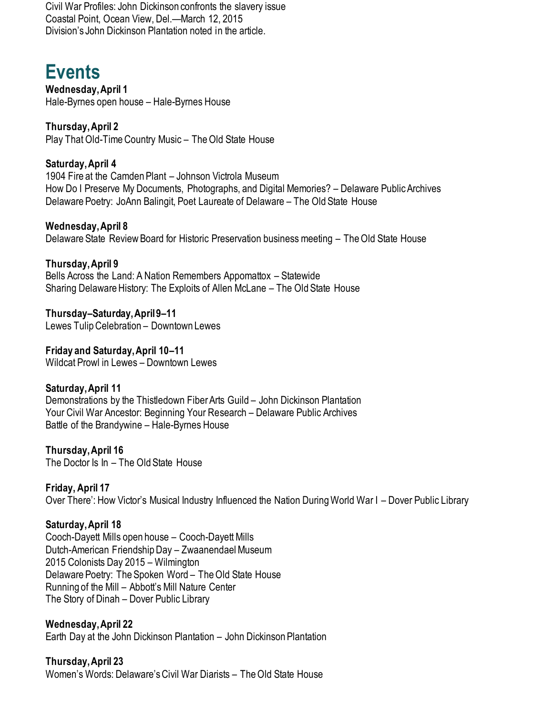Civil War Profiles: John Dickinson confronts the slavery issue Coastal Point, Ocean View, Del.—March 12, 2015 Division's John Dickinson Plantation noted in the article.

## **Events**

**Wednesday, April 1** Hale-Byrnes open house – Hale-Byrnes House

**Thursday, April 2** Play That Old-Time Country Music – The Old State House

**Saturday, April 4** 1904 Fire at the Camden Plant – Johnson Victrola Museum How Do I Preserve My Documents, Photographs, and Digital Memories? – Delaware Public Archives Delaware Poetry: JoAnn Balingit, Poet Laureate of Delaware – The Old State House

**Wednesday, April 8** Delaware State Review Board for Historic Preservation business meeting – The Old State House

**Thursday, April 9** Bells Across the Land: A Nation Remembers Appomattox – Statewide Sharing Delaware History: The Exploits of Allen McLane – The Old State House

**Thursday–Saturday, April 9–11** Lewes Tulip Celebration – Downtown Lewes

**Friday and Saturday, April 10–11** Wildcat Prowl in Lewes – Downtown Lewes

#### **Saturday, April 11**

Demonstrations by the Thistledown Fiber Arts Guild – John Dickinson Plantation Your Civil War Ancestor: Beginning Your Research – Delaware Public Archives Battle of the Brandywine – Hale-Byrnes House

**Thursday, April 16** The Doctor Is In – The Old State House

**Friday, April 17** Over There': How Victor's Musical Industry Influenced the Nation During World War I – Dover Public Library

#### **Saturday, April 18**

Cooch-Dayett Mills open house – Cooch-Dayett Mills Dutch-American Friendship Day – Zwaanendael Museum 2015 Colonists Day 2015 – Wilmington Delaware Poetry: The Spoken Word – The Old State House Running of the Mill – Abbott's Mill Nature Center The Story of Dinah – Dover Public Library

#### **Wednesday, April 22**

Earth Day at the John Dickinson Plantation – John Dickinson Plantation

**Thursday, April 23** Women's Words: Delaware's Civil War Diarists – The Old State House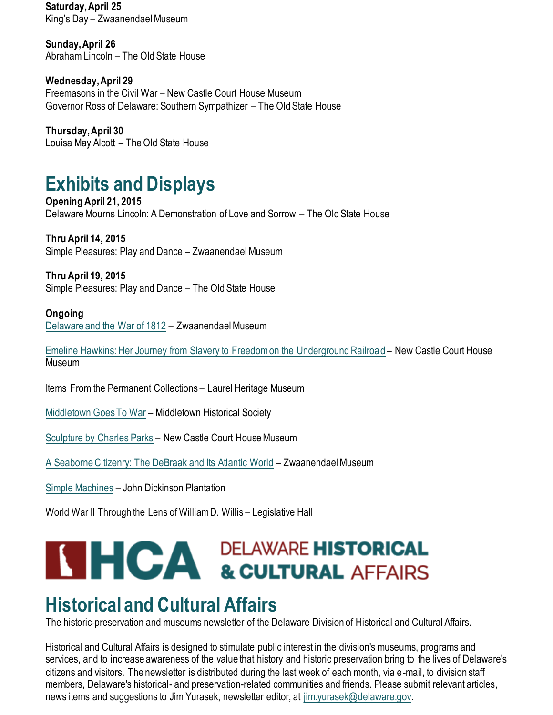**Saturday, April 25** King's Day – Zwaanendael Museum

**Sunday, April 26** Abraham Lincoln – The Old State House

**Wednesday, April 29** Freemasons in the Civil War – New Castle Court House Museum Governor Ross of Delaware: Southern Sympathizer – The Old State House

**Thursday, April 30** Louisa May Alcott – The Old State House

## **Exhibits and Displays**

**Opening April 21, 2015** Delaware Mourns Lincoln: A Demonstration of Love and Sorrow – The Old State House

**Thru April 14, 2015** Simple Pleasures: Play and Dance – Zwaanendael Museum

**Thru April 19, 2015** Simple Pleasures: Play and Dance – The Old State House

#### **Ongoing**

[Delaware and the War of 1812](https://history.delaware.gov/2014/09/10/zwaanendael-museum-features-exhibit-delaware-and-the-war-of-1812/) – Zwaanendael Museum

[Emeline Hawkins: Her Journey from Slavery to Freedom on the Underground Railroad](http://history.blogs.delaware.gov/2014/09/16/emeline-hawkins-her-journey-from-slavery-to-freedom-on-the-underground-railroad-at-the-new-castle-court-house-museum/) – New Castle Court House Museum

Items From the Permanent Collections – Laurel Heritage Museum

[Middletown Goes To War](http://history.blogs.delaware.gov/2014/07/01/middletown-goes-to-war-exhibit-at-the-middletown-historical-society/) – Middletown Historical Society

[Sculpture by Charles Parks](https://history.delaware.gov/2018/11/27/display-of-sculpture-by-charles-parks-at-the-new-castle-court-house-museum/) – New Castle Court House Museum

[A Seaborne Citizenry: The DeBraak and Its Atlantic World](http://history.blogs.delaware.gov/2014/09/10/a-seaborne-citizenry-the-debraak-and-its-atlantic-world-exhibit-at-the-zwaanendael-museum-2/) – Zwaanendael Museum

[Simple Machines](http://history.blogs.delaware.gov/2014/09/11/simple-machines-exhibit-at-the-john-dickinson-plantation/) – John Dickinson Plantation

World War II Through the Lens of William D. Willis – Legislative Hall

# **SHICA DELAWARE HISTORICAL SEEARS**

## **Historical and Cultural Affairs**

The historic-preservation and museums newsletter of the Delaware Division of Historical and Cultural Affairs.

Historical and Cultural Affairs is designed to stimulate public interest in the division's museums, programs and services, and to increase awareness of the value that history and historic preservation bring to the lives of Delaware's citizens and visitors. The newsletter is distributed during the last week of each month, via e-mail, to division staff members, Delaware's historical- and preservation-related communities and friends. Please submit relevant articles, news items and suggestions to Jim Yurasek, newsletter editor, at [jim.yurasek@delaware.gov.](mailto:jim.yurasek@delaware.gov)